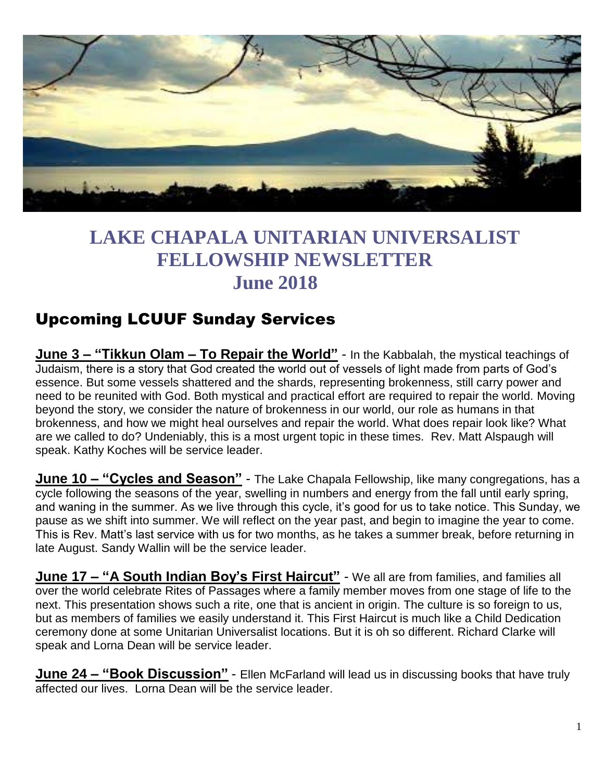

# **LAKE CHAPALA UNITARIAN UNIVERSALIST FELLOWSHIP NEWSLETTER June 2018**

## Upcoming LCUUF Sunday Services

**June 3 – "Tikkun Olam – To Repair the World"** - In the Kabbalah, the mystical teachings of Judaism, there is a story that God created the world out of vessels of light made from parts of God's essence. But some vessels shattered and the shards, representing brokenness, still carry power and need to be reunited with God. Both mystical and practical effort are required to repair the world. Moving beyond the story, we consider the nature of brokenness in our world, our role as humans in that brokenness, and how we might heal ourselves and repair the world. What does repair look like? What are we called to do? Undeniably, this is a most urgent topic in these times. Rev. Matt Alspaugh will speak. Kathy Koches will be service leader.

**June 10 – "Cycles and Season"** - The Lake Chapala Fellowship, like many congregations, has a cycle following the seasons of the year, swelling in numbers and energy from the fall until early spring, and waning in the summer. As we live through this cycle, it's good for us to take notice. This Sunday, we pause as we shift into summer. We will reflect on the year past, and begin to imagine the year to come. This is Rev. Matt's last service with us for two months, as he takes a summer break, before returning in late August. Sandy Wallin will be the service leader.

**June 17 – "A South Indian Boy's First Haircut"** - We all are from families, and families all over the world celebrate Rites of Passages where a family member moves from one stage of life to the next. This presentation shows such a rite, one that is ancient in origin. The culture is so foreign to us, but as members of families we easily understand it. This First Haircut is much like a Child Dedication ceremony done at some Unitarian Universalist locations. But it is oh so different. Richard Clarke will speak and Lorna Dean will be service leader.

**June 24 – "Book Discussion"** - Ellen McFarland will lead us in discussing books that have truly affected our lives. Lorna Dean will be the service leader.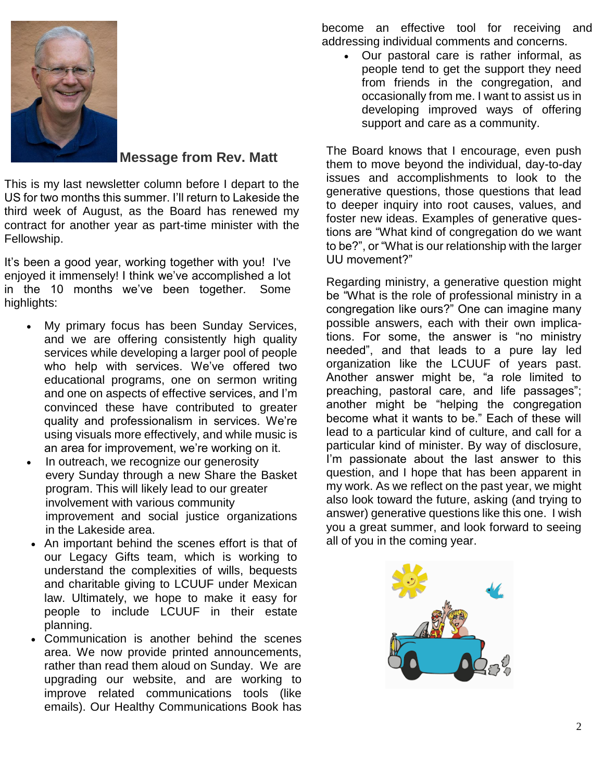

**Message from Rev. Matt**

This is my last newsletter column before I depart to the US for two months this summer. I'll return to Lakeside the third week of August, as the Board has renewed my contract for another year as part-time minister with the Fellowship.

It's been a good year, working together with you! I've enjoyed it immensely! I think we've accomplished a lot in the 10 months we've been together. Some highlights:

- My primary focus has been Sunday Services, and we are offering consistently high quality services while developing a larger pool of people who help with services. We've offered two educational programs, one on sermon writing and one on aspects of effective services, and I'm convinced these have contributed to greater quality and professionalism in services. We're using visuals more effectively, and while music is an area for improvement, we're working on it.
- In outreach, we recognize our generosity every Sunday through a new Share the Basket program. This will likely lead to our greater involvement with various community improvement and social justice organizations in the Lakeside area.
- An important behind the scenes effort is that of our Legacy Gifts team, which is working to understand the complexities of wills, bequests and charitable giving to LCUUF under Mexican law. Ultimately, we hope to make it easy for people to include LCUUF in their estate planning.
- Communication is another behind the scenes area. We now provide printed announcements, rather than read them aloud on Sunday. We are upgrading our website, and are working to improve related communications tools (like emails). Our Healthy Communications Book has

become an effective tool for receiving and addressing individual comments and concerns.

 Our pastoral care is rather informal, as people tend to get the support they need from friends in the congregation, and occasionally from me. I want to assist us in developing improved ways of offering support and care as a community.

The Board knows that I encourage, even push them to move beyond the individual, day-to-day issues and accomplishments to look to the generative questions, those questions that lead to deeper inquiry into root causes, values, and foster new ideas. Examples of generative questions are "What kind of congregation do we want to be?", or "What is our relationship with the larger UU movement?"

Regarding ministry, a generative question might be "What is the role of professional ministry in a congregation like ours?" One can imagine many possible answers, each with their own implications. For some, the answer is "no ministry needed", and that leads to a pure lay led organization like the LCUUF of years past. Another answer might be, "a role limited to preaching, pastoral care, and life passages"; another might be "helping the congregation become what it wants to be." Each of these will lead to a particular kind of culture, and call for a particular kind of minister. By way of disclosure, I'm passionate about the last answer to this question, and I hope that has been apparent in my work. As we reflect on the past year, we might also look toward the future, asking (and trying to answer) generative questions like this one. I wish you a great summer, and look forward to seeing all of you in the coming year.

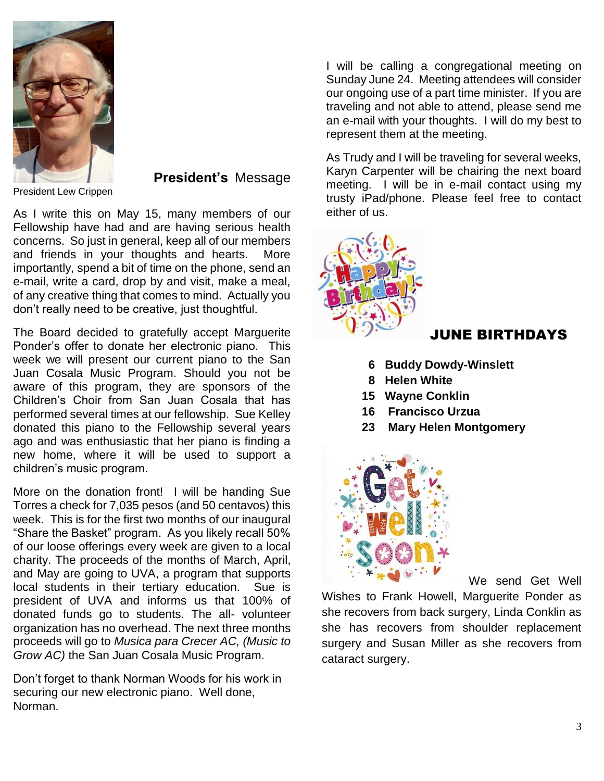

President Lew Crippen

**President's** Message

As I write this on May 15, many members of our Fellowship have had and are having serious health concerns. So just in general, keep all of our members and friends in your thoughts and hearts. More importantly, spend a bit of time on the phone, send an e-mail, write a card, drop by and visit, make a meal, of any creative thing that comes to mind. Actually you don't really need to be creative, just thoughtful.

The Board decided to gratefully accept Marguerite Ponder's offer to donate her electronic piano. This week we will present our current piano to the San Juan Cosala Music Program. Should you not be aware of this program, they are sponsors of the Children's Choir from San Juan Cosala that has performed several times at our fellowship. Sue Kelley donated this piano to the Fellowship several years ago and was enthusiastic that her piano is finding a new home, where it will be used to support a children's music program.

More on the donation front! I will be handing Sue Torres a check for 7,035 pesos (and 50 centavos) this week. This is for the first two months of our inaugural "Share the Basket" program. As you likely recall 50% of our loose offerings every week are given to a local charity. The proceeds of the months of March, April, and May are going to UVA, a program that supports local students in their tertiary education. Sue is president of UVA and informs us that 100% of donated funds go to students. The all- volunteer organization has no overhead. The next three months proceeds will go to *Musica para Crecer AC, (Music to Grow AC)* the San Juan Cosala Music Program.

Don't forget to thank Norman Woods for his work in securing our new electronic piano. Well done, Norman.

I will be calling a congregational meeting on Sunday June 24. Meeting attendees will consider our ongoing use of a part time minister. If you are traveling and not able to attend, please send me an e-mail with your thoughts. I will do my best to represent them at the meeting.

As Trudy and I will be traveling for several weeks, Karyn Carpenter will be chairing the next board meeting. I will be in e-mail contact using my trusty iPad/phone. Please feel free to contact either of us.

### JUNE BIRTHDAYS

- **6 Buddy Dowdy-Winslett**
- **8 Helen White**
- **15 Wayne Conklin**
- **16 Francisco Urzua**
- **23 Mary Helen Montgomery**



We send Get Well

Wishes to Frank Howell, Marguerite Ponder as she recovers from back surgery, Linda Conklin as she has recovers from shoulder replacement surgery and Susan Miller as she recovers from cataract surgery.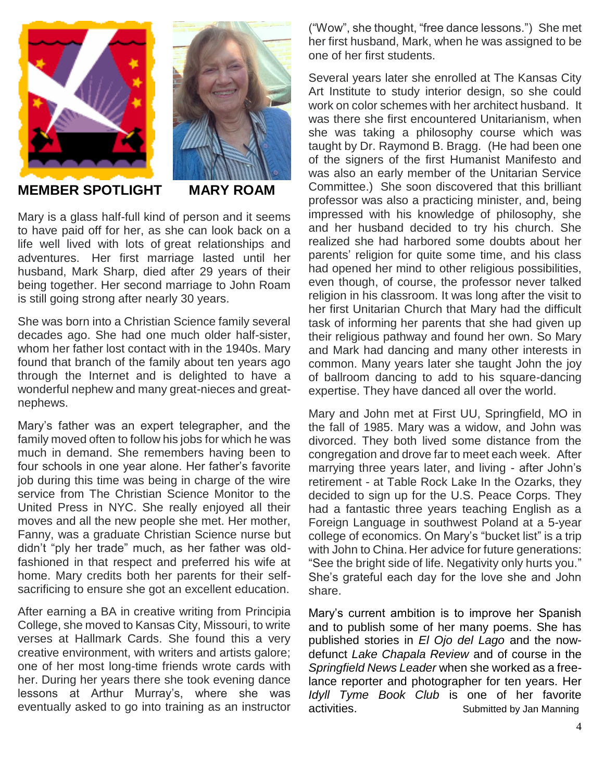



#### **MEMBER SPOTLIGHT MARY ROAM**

Mary is a glass half-full kind of person and it seems to have paid off for her, as she can look back on a life well lived with lots of great relationships and adventures. Her first marriage lasted until her husband, Mark Sharp, died after 29 years of their being together. Her second marriage to John Roam is still going strong after nearly 30 years.

She was born into a Christian Science family several decades ago. She had one much older half-sister, whom her father lost contact with in the 1940s. Mary found that branch of the family about ten years ago through the Internet and is delighted to have a wonderful nephew and many great-nieces and greatnephews.

Mary's father was an expert telegrapher, and the family moved often to follow his jobs for which he was much in demand. She remembers having been to four schools in one year alone. Her father's favorite job during this time was being in charge of the wire service from The Christian Science Monitor to the United Press in NYC. She really enjoyed all their moves and all the new people she met. Her mother, Fanny, was a graduate Christian Science nurse but didn't "ply her trade" much, as her father was oldfashioned in that respect and preferred his wife at home. Mary credits both her parents for their selfsacrificing to ensure she got an excellent education.

After earning a BA in creative writing from Principia College, she moved to Kansas City, Missouri, to write verses at Hallmark Cards. She found this a very creative environment, with writers and artists galore; one of her most long-time friends wrote cards with her. During her years there she took evening dance lessons at Arthur Murray's, where she was eventually asked to go into training as an instructor ("Wow", she thought, "free dance lessons.") She met her first husband, Mark, when he was assigned to be one of her first students.

Several years later she enrolled at The Kansas City Art Institute to study interior design, so she could work on color schemes with her architect husband. It was there she first encountered Unitarianism, when she was taking a philosophy course which was taught by Dr. Raymond B. Bragg. (He had been one of the signers of the first Humanist Manifesto and was also an early member of the Unitarian Service Committee.) She soon discovered that this brilliant professor was also a practicing minister, and, being impressed with his knowledge of philosophy, she and her husband decided to try his church. She realized she had harbored some doubts about her parents' religion for quite some time, and his class had opened her mind to other religious possibilities, even though, of course, the professor never talked religion in his classroom. It was long after the visit to her first Unitarian Church that Mary had the difficult task of informing her parents that she had given up their religious pathway and found her own. So Mary and Mark had dancing and many other interests in common. Many years later she taught John the joy of ballroom dancing to add to his square-dancing expertise. They have danced all over the world.

Mary and John met at First UU, Springfield, MO in the fall of 1985. Mary was a widow, and John was divorced. They both lived some distance from the congregation and drove far to meet each week. After marrying three years later, and living - after John's retirement - at Table Rock Lake In the Ozarks, they decided to sign up for the U.S. Peace Corps. They had a fantastic three years teaching English as a Foreign Language in southwest Poland at a 5-year college of economics. On Mary's "bucket list" is a trip with John to China. Her advice for future generations: "See the bright side of life. Negativity only hurts you." She's grateful each day for the love she and John share.

Mary's current ambition is to improve her Spanish and to publish some of her many poems. She has published stories in *El Ojo del Lago* and the nowdefunct *Lake Chapala Review* and of course in the *Springfield News Leader* when she worked as a freelance reporter and photographer for ten years. Her *Idyll Tyme Book Club* is one of her favorite activities. **Submitted by Jan Manning**